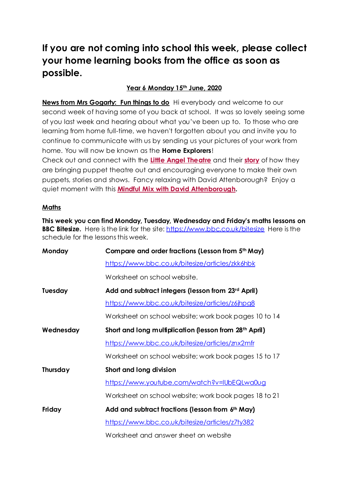## **If you are not coming into school this week, please collect your home learning books from the office as soon as possible.**

## **Year 6 Monday 15th June, 2020**

**News from Mrs Gogarty: Fun things to do** Hi everybody and welcome to our second week of having some of you back at school. It was so lovely seeing some of you last week and hearing about what you've been up to. To those who are learning from home full-time, we haven't forgotten about you and invite you to continue to communicate with us by sending us your pictures of your work from home. You will now be known as the **Home Explorers**!

Check out and connect with the **Little Angel [Theatre](https://littleangeltheatre.com/)** and their **[story](https://www.bbc.co.uk/news/av/entertainment-arts-52584669/the-little-theatre-with-a-big-lockdown-following)** of how they are bringing puppet theatre out and encouraging everyone to make their own puppets, stories and shows. Fancy relaxing with David Attenborough? Enjoy a quiet moment with this **Mindful Mix with David [Attenborough.](https://www.bbc.co.uk/sounds/play/p08d63ny)**

#### **Maths**

**This week you can find Monday, Tuesday, Wednesday and Friday's maths lessons on BBC Bitesize.** Here is the link for the site: <https://www.bbc.co.uk/bitesize>Here is the schedule for the lessons this week.

| Monday         | Compare and order fractions (Lesson from 5th May)                  |
|----------------|--------------------------------------------------------------------|
|                | https://www.bbc.co.uk/bitesize/articles/zkk6hbk                    |
|                | Worksheet on school website.                                       |
| <b>Tuesday</b> | Add and subtract integers (lesson from 23rd April)                 |
|                | https://www.bbc.co.uk/bitesize/articles/z6jhpg8                    |
|                | Worksheet on school website; work book pages 10 to 14              |
| Wednesday      | Short and long multiplication (lesson from 28 <sup>th</sup> April) |
|                | https://www.bbc.co.uk/bitesize/articles/znx2mfr                    |
|                | Worksheet on school website; work book pages 15 to 17              |
| Thursday       | Short and long division                                            |
|                | https://www.youtube.com/watch?v=IUbEQLwa0ug                        |
|                | Worksheet on school website; work book pages 18 to 21              |
| Friday         | Add and subtract fractions (lesson from 6th May)                   |
|                | https://www.bbc.co.uk/bitesize/articles/z7ty382                    |
|                | Worksheet and answer sheet on website                              |